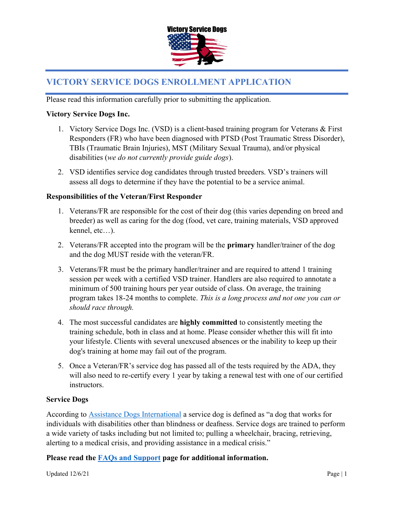

# VICTORY SERVICE DOGS ENROLLMENT APPLICATION

Please read this information carefully prior to submitting the application.

#### Victory Service Dogs Inc.

- 1. Victory Service Dogs Inc. (VSD) is a client-based training program for Veterans & First Responders (FR) who have been diagnosed with PTSD (Post Traumatic Stress Disorder), TBIs (Traumatic Brain Injuries), MST (Military Sexual Trauma), and/or physical disabilities (we do not currently provide guide dogs).
- 2. VSD identifies service dog candidates through trusted breeders. VSD's trainers will assess all dogs to determine if they have the potential to be a service animal.

#### Responsibilities of the Veteran/First Responder

- 1. Veterans/FR are responsible for the cost of their dog (this varies depending on breed and breeder) as well as caring for the dog (food, vet care, training materials, VSD approved kennel, etc…).
- 2. Veterans/FR accepted into the program will be the **primary** handler/trainer of the dog and the dog MUST reside with the veteran/FR.
- 3. Veterans/FR must be the primary handler/trainer and are required to attend 1 training session per week with a certified VSD trainer. Handlers are also required to annotate a minimum of 500 training hours per year outside of class. On average, the training program takes 18-24 months to complete. This is a long process and not one you can or should race through.
- 4. The most successful candidates are **highly committed** to consistently meeting the training schedule, both in class and at home. Please consider whether this will fit into your lifestyle. Clients with several unexcused absences or the inability to keep up their dog's training at home may fail out of the program.
- 5. Once a Veteran/FR's service dog has passed all of the tests required by the ADA, they will also need to re-certify every 1 year by taking a renewal test with one of our certified instructors.

#### Service Dogs

According to Assistance Dogs International a service dog is defined as "a dog that works for individuals with disabilities other than blindness or deafness. Service dogs are trained to perform a wide variety of tasks including but not limited to; pulling a wheelchair, bracing, retrieving, alerting to a medical crisis, and providing assistance in a medical crisis."

Please read the FAQs and Support page for additional information.

Updated  $12/6/21$  Page | 1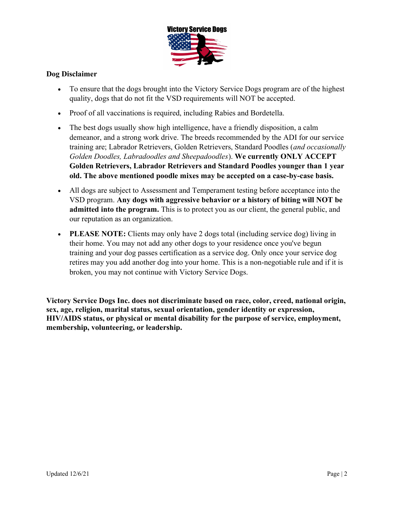

## Dog Disclaimer

- To ensure that the dogs brought into the Victory Service Dogs program are of the highest quality, dogs that do not fit the VSD requirements will NOT be accepted.
- Proof of all vaccinations is required, including Rabies and Bordetella.
- The best dogs usually show high intelligence, have a friendly disposition, a calm demeanor, and a strong work drive. The breeds recommended by the ADI for our service training are; Labrador Retrievers, Golden Retrievers, Standard Poodles (and occasionally Golden Doodles, Labradoodles and Sheepadoodles). We currently ONLY ACCEPT Golden Retrievers, Labrador Retrievers and Standard Poodles younger than 1 year old. The above mentioned poodle mixes may be accepted on a case-by-case basis.
- All dogs are subject to Assessment and Temperament testing before acceptance into the VSD program. Any dogs with aggressive behavior or a history of biting will NOT be admitted into the program. This is to protect you as our client, the general public, and our reputation as an organization.
- PLEASE NOTE: Clients may only have 2 dogs total (including service dog) living in their home. You may not add any other dogs to your residence once you've begun training and your dog passes certification as a service dog. Only once your service dog retires may you add another dog into your home. This is a non-negotiable rule and if it is broken, you may not continue with Victory Service Dogs.

Victory Service Dogs Inc. does not discriminate based on race, color, creed, national origin, sex, age, religion, marital status, sexual orientation, gender identity or expression, HIV/AIDS status, or physical or mental disability for the purpose of service, employment, membership, volunteering, or leadership.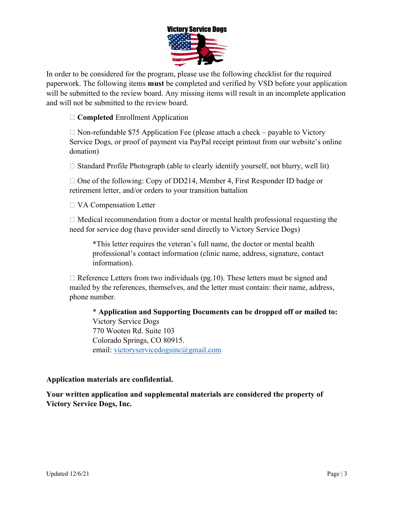

In order to be considered for the program, please use the following checklist for the required paperwork. The following items must be completed and verified by VSD before your application will be submitted to the review board. Any missing items will result in an incomplete application and will not be submitted to the review board.

□ **Completed** Enrollment Application

 $\Box$  Non-refundable \$75 Application Fee (please attach a check – payable to Victory Service Dogs, or proof of payment via PayPal receipt printout from our website's online donation)

 $\Box$  Standard Profile Photograph (able to clearly identify yourself, not blurry, well lit)

 $\Box$  One of the following: Copy of DD214, Member 4, First Responder ID badge or retirement letter, and/or orders to your transition battalion

□ VA Compensation Letter

 $\Box$  Medical recommendation from a doctor or mental health professional requesting the need for service dog (have provider send directly to Victory Service Dogs)

\*This letter requires the veteran's full name, the doctor or mental health professional's contact information (clinic name, address, signature, contact information).

 $\Box$  Reference Letters from two individuals (pg.10). These letters must be signed and mailed by the references, themselves, and the letter must contain: their name, address, phone number.

\* Application and Supporting Documents can be dropped off or mailed to: Victory Service Dogs 770 Wooten Rd. Suite 103 Colorado Springs, CO 80915. email: victoryservicedogsinc@gmail.com

#### Application materials are confidential.

Your written application and supplemental materials are considered the property of Victory Service Dogs, Inc.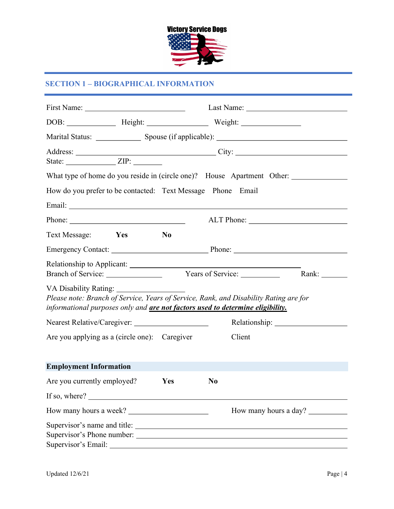

### SECTION 1 – BIOGRAPHICAL INFORMATION

| State: $ZIP:$                                                                                                                                                                                                                                                                                                                                                                                                |                |                                                                                                                                                                         |
|--------------------------------------------------------------------------------------------------------------------------------------------------------------------------------------------------------------------------------------------------------------------------------------------------------------------------------------------------------------------------------------------------------------|----------------|-------------------------------------------------------------------------------------------------------------------------------------------------------------------------|
|                                                                                                                                                                                                                                                                                                                                                                                                              |                | What type of home do you reside in (circle one)? House Apartment Other: _______________                                                                                 |
| How do you prefer to be contacted: Text Message Phone Email                                                                                                                                                                                                                                                                                                                                                  |                |                                                                                                                                                                         |
|                                                                                                                                                                                                                                                                                                                                                                                                              |                |                                                                                                                                                                         |
| Phone: $\frac{1}{\sqrt{1-\frac{1}{2}}\sqrt{1-\frac{1}{2}}\sqrt{1-\frac{1}{2}}\sqrt{1-\frac{1}{2}}\sqrt{1-\frac{1}{2}}\sqrt{1-\frac{1}{2}}\sqrt{1-\frac{1}{2}}\sqrt{1-\frac{1}{2}}\sqrt{1-\frac{1}{2}}\sqrt{1-\frac{1}{2}}\sqrt{1-\frac{1}{2}}\sqrt{1-\frac{1}{2}}\sqrt{1-\frac{1}{2}}\sqrt{1-\frac{1}{2}}\sqrt{1-\frac{1}{2}}\sqrt{1-\frac{1}{2}}\sqrt{1-\frac{1}{2}}\sqrt{1-\frac{1}{2}}\sqrt{1-\frac{1}{2$ |                |                                                                                                                                                                         |
| Text Message: Yes                                                                                                                                                                                                                                                                                                                                                                                            | N <sub>0</sub> |                                                                                                                                                                         |
|                                                                                                                                                                                                                                                                                                                                                                                                              |                |                                                                                                                                                                         |
|                                                                                                                                                                                                                                                                                                                                                                                                              |                | Rank:                                                                                                                                                                   |
| VA Disability Rating:                                                                                                                                                                                                                                                                                                                                                                                        |                | Please note: Branch of Service, Years of Service, Rank, and Disability Rating are for<br>informational purposes only and are not factors used to determine eligibility. |
|                                                                                                                                                                                                                                                                                                                                                                                                              |                |                                                                                                                                                                         |
| Are you applying as a (circle one): Caregiver                                                                                                                                                                                                                                                                                                                                                                |                | Client                                                                                                                                                                  |
| <b>Employment Information</b>                                                                                                                                                                                                                                                                                                                                                                                |                |                                                                                                                                                                         |
| Are you currently employed?                                                                                                                                                                                                                                                                                                                                                                                  | <b>Yes</b>     | N <sub>0</sub>                                                                                                                                                          |
| If so, where?                                                                                                                                                                                                                                                                                                                                                                                                |                |                                                                                                                                                                         |
|                                                                                                                                                                                                                                                                                                                                                                                                              |                | How many hours a day?                                                                                                                                                   |
|                                                                                                                                                                                                                                                                                                                                                                                                              |                | Supervisor's name and title:                                                                                                                                            |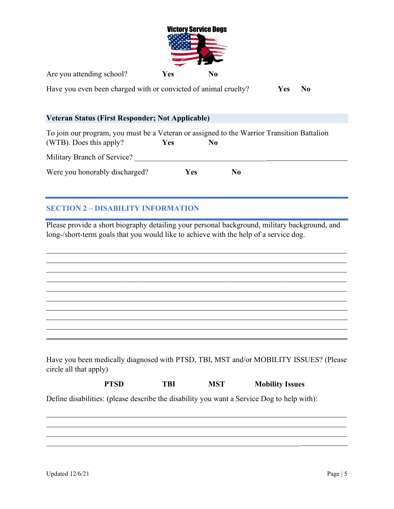

Are you attending school? Yes No

Have you even been charged with or convicted of animal cruelty? Yes No

### Veteran Status (First Responder; Not Applicable)

| To join our program, you must be a Veteran or assigned to the Warrior Transition Battalion |            |     |    |  |
|--------------------------------------------------------------------------------------------|------------|-----|----|--|
| (WTB). Does this apply?                                                                    | <b>Yes</b> | No  |    |  |
| Military Branch of Service?                                                                |            |     |    |  |
| Were you honorably discharged?                                                             |            | Yes | No |  |

## SECTION 2 – DISABILITY INFORMATION

Please provide a short biography detailing your personal background, military background, and long-/short-term goals that you would like to achieve with the help of a service dog.

 $\mathcal{L}_\mathcal{L} = \mathcal{L}_\mathcal{L} = \mathcal{L}_\mathcal{L} = \mathcal{L}_\mathcal{L} = \mathcal{L}_\mathcal{L} = \mathcal{L}_\mathcal{L} = \mathcal{L}_\mathcal{L} = \mathcal{L}_\mathcal{L} = \mathcal{L}_\mathcal{L} = \mathcal{L}_\mathcal{L} = \mathcal{L}_\mathcal{L} = \mathcal{L}_\mathcal{L} = \mathcal{L}_\mathcal{L} = \mathcal{L}_\mathcal{L} = \mathcal{L}_\mathcal{L} = \mathcal{L}_\mathcal{L} = \mathcal{L}_\mathcal{L}$  $\mathcal{L}_\mathcal{L} = \mathcal{L}_\mathcal{L} = \mathcal{L}_\mathcal{L} = \mathcal{L}_\mathcal{L} = \mathcal{L}_\mathcal{L} = \mathcal{L}_\mathcal{L} = \mathcal{L}_\mathcal{L} = \mathcal{L}_\mathcal{L} = \mathcal{L}_\mathcal{L} = \mathcal{L}_\mathcal{L} = \mathcal{L}_\mathcal{L} = \mathcal{L}_\mathcal{L} = \mathcal{L}_\mathcal{L} = \mathcal{L}_\mathcal{L} = \mathcal{L}_\mathcal{L} = \mathcal{L}_\mathcal{L} = \mathcal{L}_\mathcal{L}$ 

Have you been medically diagnosed with PTSD, TBI, MST and/or MOBILITY ISSUES? (Please circle all that apply)

| PTSD | TBI | MST | <b>Mobility Issues</b> |
|------|-----|-----|------------------------|
|      |     |     |                        |

Define disabilities: (please describe the disability you want a Service Dog to help with):

 $\mathcal{L}_\mathcal{L} = \mathcal{L}_\mathcal{L} = \mathcal{L}_\mathcal{L} = \mathcal{L}_\mathcal{L} = \mathcal{L}_\mathcal{L} = \mathcal{L}_\mathcal{L} = \mathcal{L}_\mathcal{L} = \mathcal{L}_\mathcal{L} = \mathcal{L}_\mathcal{L} = \mathcal{L}_\mathcal{L} = \mathcal{L}_\mathcal{L} = \mathcal{L}_\mathcal{L} = \mathcal{L}_\mathcal{L} = \mathcal{L}_\mathcal{L} = \mathcal{L}_\mathcal{L} = \mathcal{L}_\mathcal{L} = \mathcal{L}_\mathcal{L}$ 

l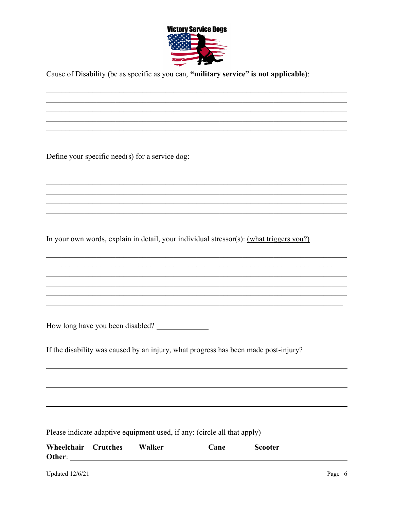

Cause of Disability (be as specific as you can, "military service" is not applicable):

Define your specific need(s) for a service dog:

In your own words, explain in detail, your individual stressor(s): (what triggers you?)

How long have you been disabled?

If the disability was caused by an injury, what progress has been made post-injury?

Please indicate adaptive equipment used, if any: (circle all that apply)

| Wheelchair Crutches | Walker | Cane | <b>Scooter</b> |
|---------------------|--------|------|----------------|
| Other:              |        |      |                |

**Updated 12/6/21**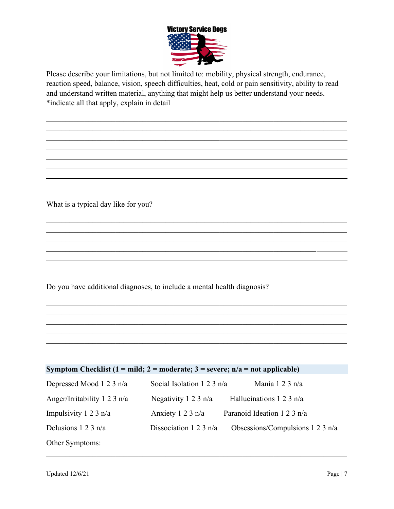

Please describe your limitations, but not limited to: mobility, physical strength, endurance, reaction speed, balance, vision, speech difficulties, heat, cold or pain sensitivity, ability to read and understand written material, anything that might help us better understand your needs. \*indicate all that apply, explain in detail

What is a typical day like for you?

 $\overline{a}$ 

l

 $\overline{a}$ 

 $\mathcal{L}_\text{max}$  and  $\mathcal{L}_\text{max}$  and  $\mathcal{L}_\text{max}$  and  $\mathcal{L}_\text{max}$ 

Do you have additional diagnoses, to include a mental health diagnosis?

 $\mathcal{L}_\mathcal{L} = \mathcal{L}_\mathcal{L} = \mathcal{L}_\mathcal{L} = \mathcal{L}_\mathcal{L} = \mathcal{L}_\mathcal{L} = \mathcal{L}_\mathcal{L} = \mathcal{L}_\mathcal{L} = \mathcal{L}_\mathcal{L} = \mathcal{L}_\mathcal{L} = \mathcal{L}_\mathcal{L} = \mathcal{L}_\mathcal{L} = \mathcal{L}_\mathcal{L} = \mathcal{L}_\mathcal{L} = \mathcal{L}_\mathcal{L} = \mathcal{L}_\mathcal{L} = \mathcal{L}_\mathcal{L} = \mathcal{L}_\mathcal{L}$ 

| Symptom Checklist (1 = mild; 2 = moderate; 3 = severe; $n/a$ = not applicable) |                              |                                  |  |  |  |
|--------------------------------------------------------------------------------|------------------------------|----------------------------------|--|--|--|
| Depressed Mood 1 2 3 n/a                                                       | Social Isolation 1 2 3 $n/a$ | Mania 1 2 3 n/a                  |  |  |  |
| Anger/Irritability 1 2 3 n/a                                                   | Negativity 1 2 3 $n/a$       | Hallucinations $1 2 3 n/a$       |  |  |  |
| Impulsivity 1 2 3 $n/a$                                                        | Anxiety 1 2 3 n/a            | Paranoid Ideation 1 2 3 n/a      |  |  |  |
| Delusions $1 2 3 n/a$                                                          | Dissociation 1 2 3 $n/a$     | Obsessions/Compulsions 1 2 3 n/a |  |  |  |
| Other Symptoms:                                                                |                              |                                  |  |  |  |

 $\mathcal{L}_\text{max}$  and  $\mathcal{L}_\text{max}$  and  $\mathcal{L}_\text{max}$  and  $\mathcal{L}_\text{max}$  and  $\mathcal{L}_\text{max}$  and  $\mathcal{L}_\text{max}$ 

 $\mathcal{L}_\mathcal{L} = \mathcal{L}_\mathcal{L} = \mathcal{L}_\mathcal{L} = \mathcal{L}_\mathcal{L} = \mathcal{L}_\mathcal{L} = \mathcal{L}_\mathcal{L} = \mathcal{L}_\mathcal{L} = \mathcal{L}_\mathcal{L} = \mathcal{L}_\mathcal{L} = \mathcal{L}_\mathcal{L} = \mathcal{L}_\mathcal{L} = \mathcal{L}_\mathcal{L} = \mathcal{L}_\mathcal{L} = \mathcal{L}_\mathcal{L} = \mathcal{L}_\mathcal{L} = \mathcal{L}_\mathcal{L} = \mathcal{L}_\mathcal{L}$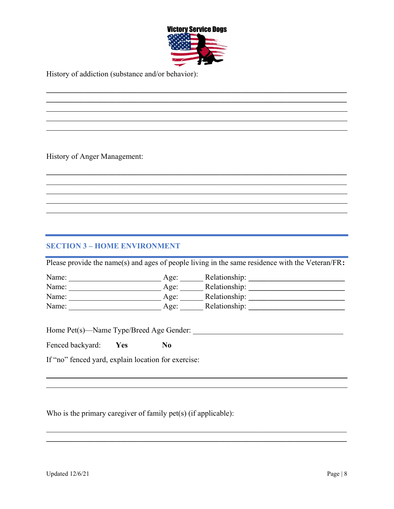

 $\mathcal{L}_\mathcal{L} = \mathcal{L}_\mathcal{L} = \mathcal{L}_\mathcal{L} = \mathcal{L}_\mathcal{L} = \mathcal{L}_\mathcal{L} = \mathcal{L}_\mathcal{L} = \mathcal{L}_\mathcal{L} = \mathcal{L}_\mathcal{L} = \mathcal{L}_\mathcal{L} = \mathcal{L}_\mathcal{L} = \mathcal{L}_\mathcal{L} = \mathcal{L}_\mathcal{L} = \mathcal{L}_\mathcal{L} = \mathcal{L}_\mathcal{L} = \mathcal{L}_\mathcal{L} = \mathcal{L}_\mathcal{L} = \mathcal{L}_\mathcal{L}$  $\mathcal{L}_\mathcal{L} = \{ \mathcal{L}_\mathcal{L} = \{ \mathcal{L}_\mathcal{L} = \{ \mathcal{L}_\mathcal{L} = \{ \mathcal{L}_\mathcal{L} = \{ \mathcal{L}_\mathcal{L} = \{ \mathcal{L}_\mathcal{L} = \{ \mathcal{L}_\mathcal{L} = \{ \mathcal{L}_\mathcal{L} = \{ \mathcal{L}_\mathcal{L} = \{ \mathcal{L}_\mathcal{L} = \{ \mathcal{L}_\mathcal{L} = \{ \mathcal{L}_\mathcal{L} = \{ \mathcal{L}_\mathcal{L} = \{ \mathcal{L}_\mathcal{$ 

 $\mathcal{L}_\mathcal{L} = \{ \mathcal{L}_\mathcal{L} = \{ \mathcal{L}_\mathcal{L} = \{ \mathcal{L}_\mathcal{L} = \{ \mathcal{L}_\mathcal{L} = \{ \mathcal{L}_\mathcal{L} = \{ \mathcal{L}_\mathcal{L} = \{ \mathcal{L}_\mathcal{L} = \{ \mathcal{L}_\mathcal{L} = \{ \mathcal{L}_\mathcal{L} = \{ \mathcal{L}_\mathcal{L} = \{ \mathcal{L}_\mathcal{L} = \{ \mathcal{L}_\mathcal{L} = \{ \mathcal{L}_\mathcal{L} = \{ \mathcal{L}_\mathcal{$ 

History of addiction (substance and/or behavior):

History of Anger Management:

l

l

l  $\overline{a}$ 

 $\overline{a}$  $\overline{a}$ 

## SECTION 3 – HOME ENVIRONMENT

Please provide the name(s) and ages of people living in the same residence with the Veteran/FR:

| Name: | Age: | Relationship: |
|-------|------|---------------|
| Name: | Age: | Relationship: |
| Name: | Age: | Relationship: |
| Name: | Age: | Relationship: |

 $\mathcal{L}_\mathcal{L} = \mathcal{L}_\mathcal{L} = \mathcal{L}_\mathcal{L} = \mathcal{L}_\mathcal{L} = \mathcal{L}_\mathcal{L} = \mathcal{L}_\mathcal{L} = \mathcal{L}_\mathcal{L} = \mathcal{L}_\mathcal{L} = \mathcal{L}_\mathcal{L} = \mathcal{L}_\mathcal{L} = \mathcal{L}_\mathcal{L} = \mathcal{L}_\mathcal{L} = \mathcal{L}_\mathcal{L} = \mathcal{L}_\mathcal{L} = \mathcal{L}_\mathcal{L} = \mathcal{L}_\mathcal{L} = \mathcal{L}_\mathcal{L}$  $\mathcal{L}_\mathcal{L} = \{ \mathcal{L}_\mathcal{L} = \{ \mathcal{L}_\mathcal{L} = \{ \mathcal{L}_\mathcal{L} = \{ \mathcal{L}_\mathcal{L} = \{ \mathcal{L}_\mathcal{L} = \{ \mathcal{L}_\mathcal{L} = \{ \mathcal{L}_\mathcal{L} = \{ \mathcal{L}_\mathcal{L} = \{ \mathcal{L}_\mathcal{L} = \{ \mathcal{L}_\mathcal{L} = \{ \mathcal{L}_\mathcal{L} = \{ \mathcal{L}_\mathcal{L} = \{ \mathcal{L}_\mathcal{L} = \{ \mathcal{L}_\mathcal{$ 

Home Pet(s)—Name Type/Breed Age Gender: \_\_\_\_\_\_\_\_\_\_\_\_\_\_\_\_\_\_\_\_\_\_\_\_\_\_\_\_\_\_\_\_\_\_\_\_\_\_\_

Fenced backyard: Yes No

If "no" fenced yard, explain location for exercise:

Who is the primary caregiver of family pet(s) (if applicable):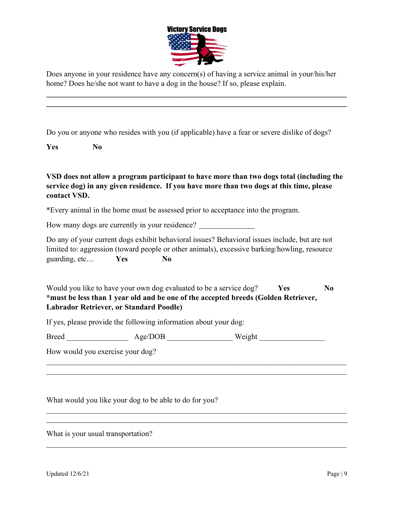

Does anyone in your residence have any concern(s) of having a service animal in your/his/her home? Does he/she not want to have a dog in the house? If so, please explain.

 $\mathcal{L}_\mathcal{L} = \mathcal{L}_\mathcal{L} = \mathcal{L}_\mathcal{L} = \mathcal{L}_\mathcal{L} = \mathcal{L}_\mathcal{L} = \mathcal{L}_\mathcal{L} = \mathcal{L}_\mathcal{L} = \mathcal{L}_\mathcal{L} = \mathcal{L}_\mathcal{L} = \mathcal{L}_\mathcal{L} = \mathcal{L}_\mathcal{L} = \mathcal{L}_\mathcal{L} = \mathcal{L}_\mathcal{L} = \mathcal{L}_\mathcal{L} = \mathcal{L}_\mathcal{L} = \mathcal{L}_\mathcal{L} = \mathcal{L}_\mathcal{L}$  $\_$ 

Do you or anyone who resides with you (if applicable) have a fear or severe dislike of dogs?

Yes No

VSD does not allow a program participant to have more than two dogs total (including the service dog) in any given residence. If you have more than two dogs at this time, please contact VSD.

\*Every animal in the home must be assessed prior to acceptance into the program.

How many dogs are currently in your residence?

Do any of your current dogs exhibit behavioral issues? Behavioral issues include, but are not limited to: aggression (toward people or other animals), excessive barking/howling, resource guarding, etc... Yes No

Would you like to have your own dog evaluated to be a service  $\log$ ? Yes No \*must be less than 1 year old and be one of the accepted breeds (Golden Retriever, Labrador Retriever, or Standard Poodle)

If yes, please provide the following information about your dog:

Breed \_\_\_\_\_\_\_\_\_\_\_\_\_\_\_\_\_\_\_ Age/DOB \_\_\_\_\_\_\_\_\_\_\_\_\_\_\_\_\_ Weight \_\_\_\_\_\_\_\_\_\_\_\_\_\_\_\_\_\_\_\_\_

How would you exercise your dog?

What would you like your dog to be able to do for you?

What is your usual transportation?

l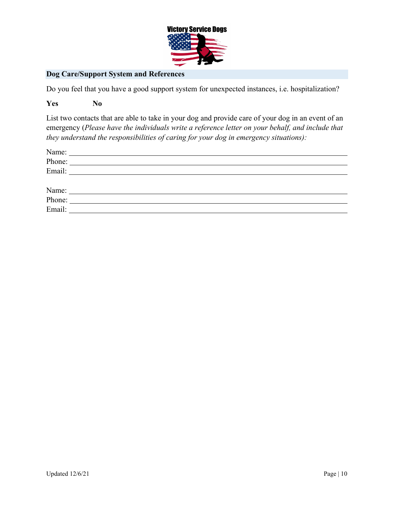

## Dog Care/Support System and References

Do you feel that you have a good support system for unexpected instances, i.e. hospitalization?

#### Yes No

List two contacts that are able to take in your dog and provide care of your dog in an event of an emergency (Please have the individuals write a reference letter on your behalf, and include that they understand the responsibilities of caring for your dog in emergency situations):

| Name:  | <u> 1980 - John Stein, mars and de Britain (b. 1980)</u>                                                             |  |  |
|--------|----------------------------------------------------------------------------------------------------------------------|--|--|
| Phone: | <u> 1980 - Jan Samuel Barbara, martin da shekara tsara mashrida a shekara tsara mashrida a shekara tsara tsara m</u> |  |  |
| Email: | <u> 1989 - Jan Samuel Barbara, margaret e populari e populari e populari e populari e populari e populari e popu</u> |  |  |
|        |                                                                                                                      |  |  |
| Name:  |                                                                                                                      |  |  |
| Phone: | <u> 1980 - Jan Samuel Barbara, margaret e populari e populari e populari e populari e populari e populari e popu</u> |  |  |
| Email: | <u> 1980 - Jan Samuel Barbara, margaret e populari e populari e populari e populari e populari e populari e popu</u> |  |  |
|        |                                                                                                                      |  |  |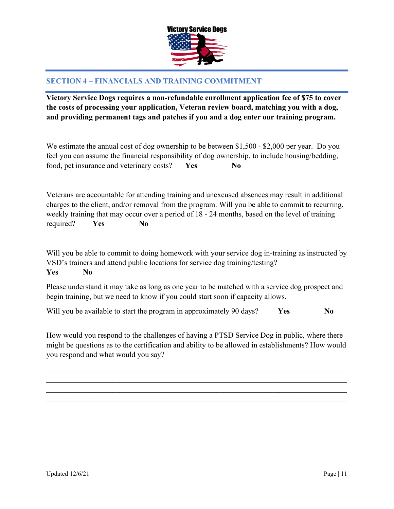

## SECTION 4 – FINANCIALS AND TRAINING COMMITMENT

Victory Service Dogs requires a non-refundable enrollment application fee of \$75 to cover the costs of processing your application, Veteran review board, matching you with a dog, and providing permanent tags and patches if you and a dog enter our training program.

We estimate the annual cost of dog ownership to be between \$1,500 - \$2,000 per year. Do you feel you can assume the financial responsibility of dog ownership, to include housing/bedding, food, pet insurance and veterinary costs? Yes No

Veterans are accountable for attending training and unexcused absences may result in additional charges to the client, and/or removal from the program. Will you be able to commit to recurring, weekly training that may occur over a period of 18 - 24 months, based on the level of training required? Yes No

Will you be able to commit to doing homework with your service dog in-training as instructed by VSD's trainers and attend public locations for service dog training/testing?

Yes No

Please understand it may take as long as one year to be matched with a service dog prospect and begin training, but we need to know if you could start soon if capacity allows.

Will you be available to start the program in approximately 90 days?  $Yes$  No

How would you respond to the challenges of having a PTSD Service Dog in public, where there might be questions as to the certification and ability to be allowed in establishments? How would you respond and what would you say?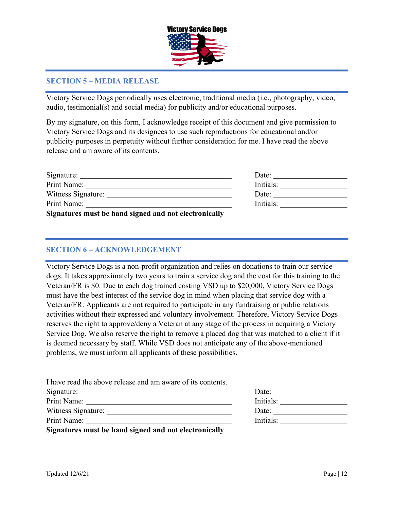

## SECTION 5 – MEDIA RELEASE

Victory Service Dogs periodically uses electronic, traditional media (i.e., photography, video, audio, testimonial(s) and social media) for publicity and/or educational purposes.

By my signature, on this form, I acknowledge receipt of this document and give permission to Victory Service Dogs and its designees to use such reproductions for educational and/or publicity purposes in perpetuity without further consideration for me. I have read the above release and am aware of its contents.

| Signature:                                            | Date:     |
|-------------------------------------------------------|-----------|
| Print Name:                                           | Initials: |
| Witness Signature:                                    | Date:     |
| Print Name:                                           | Initials: |
| Signatures must be hand signed and not electronically |           |

### SECTION 6 – ACKNOWLEDGEMENT

Victory Service Dogs is a non-profit organization and relies on donations to train our service dogs. It takes approximately two years to train a service dog and the cost for this training to the Veteran/FR is \$0. Due to each dog trained costing VSD up to \$20,000, Victory Service Dogs must have the best interest of the service dog in mind when placing that service dog with a Veteran/FR. Applicants are not required to participate in any fundraising or public relations activities without their expressed and voluntary involvement. Therefore, Victory Service Dogs reserves the right to approve/deny a Veteran at any stage of the process in acquiring a Victory Service Dog. We also reserve the right to remove a placed dog that was matched to a client if it is deemed necessary by staff. While VSD does not anticipate any of the above-mentioned problems, we must inform all applicants of these possibilities.

| I have read the above release and am aware of its contents. |           |
|-------------------------------------------------------------|-----------|
|                                                             | Date:     |
|                                                             | Initials: |
|                                                             | Date:     |
| Print Name:                                                 | Initials: |
| Signatures must be hand signed and not electronically       |           |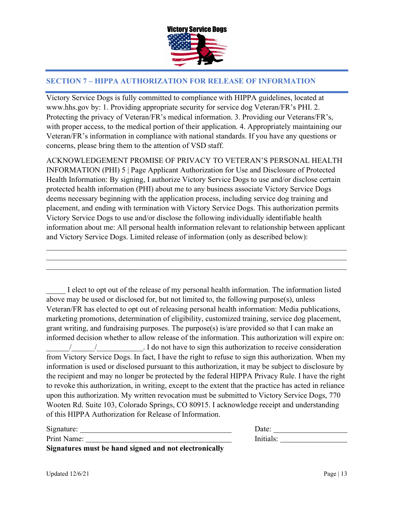

## SECTION 7 – HIPPA AUTHORIZATION FOR RELEASE OF INFORMATION

Victory Service Dogs is fully committed to compliance with HIPPA guidelines, located at www.hhs.gov by: 1. Providing appropriate security for service dog Veteran/FR's PHI. 2. Protecting the privacy of Veteran/FR's medical information. 3. Providing our Veterans/FR's, with proper access, to the medical portion of their application. 4. Appropriately maintaining our Veteran/FR's information in compliance with national standards. If you have any questions or concerns, please bring them to the attention of VSD staff.

ACKNOWLEDGEMENT PROMISE OF PRIVACY TO VETERAN'S PERSONAL HEALTH INFORMATION (PHI) 5 | Page Applicant Authorization for Use and Disclosure of Protected Health Information: By signing, I authorize Victory Service Dogs to use and/or disclose certain protected health information (PHI) about me to any business associate Victory Service Dogs deems necessary beginning with the application process, including service dog training and placement, and ending with termination with Victory Service Dogs. This authorization permits Victory Service Dogs to use and/or disclose the following individually identifiable health information about me: All personal health information relevant to relationship between applicant and Victory Service Dogs. Limited release of information (only as described below):

 $\mathcal{L}_\mathcal{L} = \mathcal{L}_\mathcal{L} = \mathcal{L}_\mathcal{L} = \mathcal{L}_\mathcal{L} = \mathcal{L}_\mathcal{L} = \mathcal{L}_\mathcal{L} = \mathcal{L}_\mathcal{L} = \mathcal{L}_\mathcal{L} = \mathcal{L}_\mathcal{L} = \mathcal{L}_\mathcal{L} = \mathcal{L}_\mathcal{L} = \mathcal{L}_\mathcal{L} = \mathcal{L}_\mathcal{L} = \mathcal{L}_\mathcal{L} = \mathcal{L}_\mathcal{L} = \mathcal{L}_\mathcal{L} = \mathcal{L}_\mathcal{L}$ 

I elect to opt out of the release of my personal health information. The information listed above may be used or disclosed for, but not limited to, the following purpose(s), unless Veteran/FR has elected to opt out of releasing personal health information: Media publications, marketing promotions, determination of eligibility, customized training, service dog placement, grant writing, and fundraising purposes. The purpose(s) is/are provided so that I can make an informed decision whether to allow release of the information. This authorization will expire on: \_\_\_\_\_\_/\_\_\_\_\_\_/\_\_\_\_\_\_\_\_\_\_\_\_. I do not have to sign this authorization to receive consideration from Victory Service Dogs. In fact, I have the right to refuse to sign this authorization. When my information is used or disclosed pursuant to this authorization, it may be subject to disclosure by the recipient and may no longer be protected by the federal HIPPA Privacy Rule. I have the right to revoke this authorization, in writing, except to the extent that the practice has acted in reliance upon this authorization. My written revocation must be submitted to Victory Service Dogs, 770 Wooten Rd. Suite 103, Colorado Springs, CO 80915. I acknowledge receipt and understanding of this HIPPA Authorization for Release of Information.

| Signature:                                            | Date:     |  |
|-------------------------------------------------------|-----------|--|
| Print Name:                                           | Initials: |  |
| Signatures must be hand signed and not electronically |           |  |